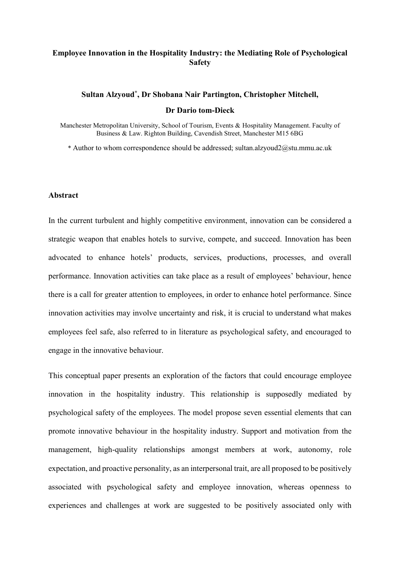### **Employee Innovation in the Hospitality Industry: the Mediating Role of Psychological Safety**

## **Sultan Alzyoud\* , Dr Shobana Nair Partington, Christopher Mitchell, Dr Dario tom-Dieck**

Manchester Metropolitan University, School of Tourism, Events & Hospitality Management. Faculty of Business & Law. Righton Building, Cavendish Street, Manchester M15 6BG

\* Author to whom correspondence should be addressed; sultan.alzyoud2@stu.mmu.ac.uk

#### **Abstract**

In the current turbulent and highly competitive environment, innovation can be considered a strategic weapon that enables hotels to survive, compete, and succeed. Innovation has been advocated to enhance hotels' products, services, productions, processes, and overall performance. Innovation activities can take place as a result of employees' behaviour, hence there is a call for greater attention to employees, in order to enhance hotel performance. Since innovation activities may involve uncertainty and risk, it is crucial to understand what makes employees feel safe, also referred to in literature as psychological safety, and encouraged to engage in the innovative behaviour.

This conceptual paper presents an exploration of the factors that could encourage employee innovation in the hospitality industry. This relationship is supposedly mediated by psychological safety of the employees. The model propose seven essential elements that can promote innovative behaviour in the hospitality industry. Support and motivation from the management, high-quality relationships amongst members at work, autonomy, role expectation, and proactive personality, as an interpersonal trait, are all proposed to be positively associated with psychological safety and employee innovation, whereas openness to experiences and challenges at work are suggested to be positively associated only with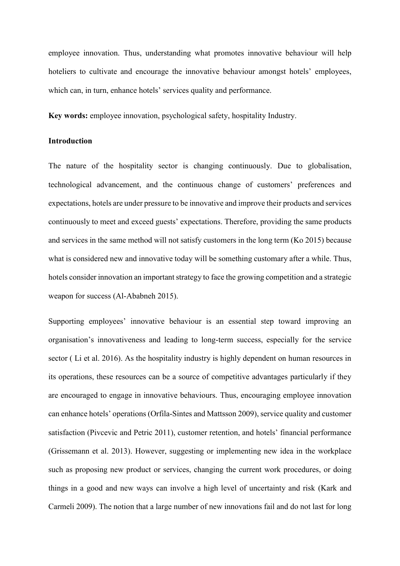employee innovation. Thus, understanding what promotes innovative behaviour will help hoteliers to cultivate and encourage the innovative behaviour amongst hotels' employees. which can, in turn, enhance hotels' services quality and performance.

**Key words:** employee innovation, psychological safety, hospitality Industry.

### **Introduction**

The nature of the hospitality sector is changing continuously. Due to globalisation, technological advancement, and the continuous change of customers' preferences and expectations, hotels are under pressure to be innovative and improve their products and services continuously to meet and exceed guests' expectations. Therefore, providing the same products and services in the same method will not satisfy customers in the long term (Ko 2015) because what is considered new and innovative today will be something customary after a while. Thus, hotels consider innovation an important strategy to face the growing competition and a strategic weapon for success (Al-Ababneh 2015).

Supporting employees' innovative behaviour is an essential step toward improving an organisation's innovativeness and leading to long-term success, especially for the service sector (Li et al. 2016). As the hospitality industry is highly dependent on human resources in its operations, these resources can be a source of competitive advantages particularly if they are encouraged to engage in innovative behaviours. Thus, encouraging employee innovation can enhance hotels' operations (Orfila-Sintes and Mattsson 2009), service quality and customer satisfaction (Pivcevic and Petric 2011), customer retention, and hotels' financial performance (Grissemann et al. 2013). However, suggesting or implementing new idea in the workplace such as proposing new product or services, changing the current work procedures, or doing things in a good and new ways can involve a high level of uncertainty and risk (Kark and Carmeli 2009). The notion that a large number of new innovations fail and do not last for long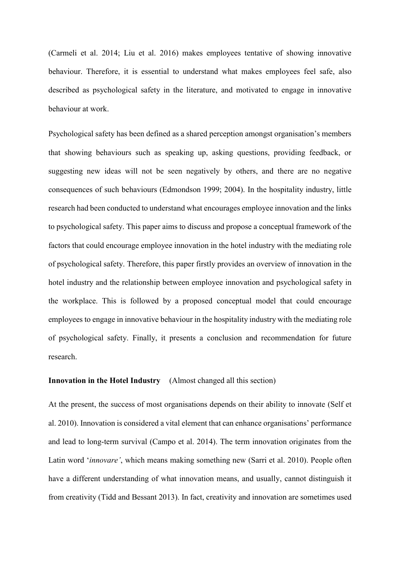(Carmeli et al. 2014; Liu et al. 2016) makes employees tentative of showing innovative behaviour. Therefore, it is essential to understand what makes employees feel safe, also described as psychological safety in the literature, and motivated to engage in innovative behaviour at work.

Psychological safety has been defined as a shared perception amongst organisation's members that showing behaviours such as speaking up, asking questions, providing feedback, or suggesting new ideas will not be seen negatively by others, and there are no negative consequences of such behaviours (Edmondson 1999; 2004). In the hospitality industry, little research had been conducted to understand what encourages employee innovation and the links to psychological safety. This paper aims to discuss and propose a conceptual framework of the factors that could encourage employee innovation in the hotel industry with the mediating role of psychological safety. Therefore, this paper firstly provides an overview of innovation in the hotel industry and the relationship between employee innovation and psychological safety in the workplace. This is followed by a proposed conceptual model that could encourage employees to engage in innovative behaviour in the hospitality industry with the mediating role of psychological safety. Finally, it presents a conclusion and recommendation for future research.

## **Innovation in the Hotel Industry** (Almost changed all this section)

At the present, the success of most organisations depends on their ability to innovate (Self et al. 2010). Innovation is considered a vital element that can enhance organisations' performance and lead to long-term survival (Campo et al. 2014). The term innovation originates from the Latin word '*innovare'*, which means making something new (Sarri et al. 2010). People often have a different understanding of what innovation means, and usually, cannot distinguish it from creativity (Tidd and Bessant 2013). In fact, creativity and innovation are sometimes used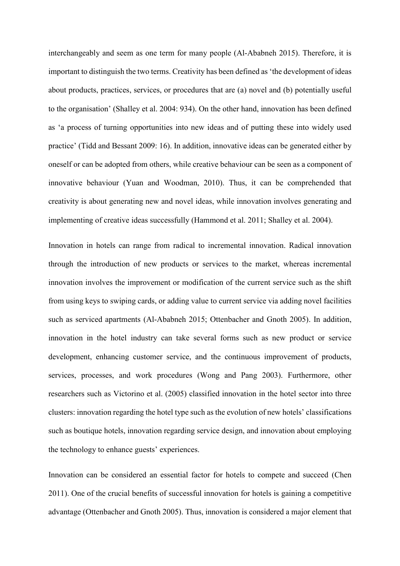interchangeably and seem as one term for many people (Al-Ababneh 2015). Therefore, it is important to distinguish the two terms. Creativity has been defined as 'the development of ideas about products, practices, services, or procedures that are (a) novel and (b) potentially useful to the organisation' (Shalley et al. 2004: 934). On the other hand, innovation has been defined as 'a process of turning opportunities into new ideas and of putting these into widely used practice' (Tidd and Bessant 2009: 16). In addition, innovative ideas can be generated either by oneself or can be adopted from others, while creative behaviour can be seen as a component of innovative behaviour (Yuan and Woodman, 2010). Thus, it can be comprehended that creativity is about generating new and novel ideas, while innovation involves generating and implementing of creative ideas successfully (Hammond et al. 2011; Shalley et al. 2004).

Innovation in hotels can range from radical to incremental innovation. Radical innovation through the introduction of new products or services to the market, whereas incremental innovation involves the improvement or modification of the current service such as the shift from using keys to swiping cards, or adding value to current service via adding novel facilities such as serviced apartments (Al-Ababneh 2015; Ottenbacher and Gnoth 2005). In addition, innovation in the hotel industry can take several forms such as new product or service development, enhancing customer service, and the continuous improvement of products, services, processes, and work procedures (Wong and Pang 2003). Furthermore, other researchers such as Victorino et al. (2005) classified innovation in the hotel sector into three clusters: innovation regarding the hotel type such as the evolution of new hotels' classifications such as boutique hotels, innovation regarding service design, and innovation about employing the technology to enhance guests' experiences.

Innovation can be considered an essential factor for hotels to compete and succeed (Chen 2011). One of the crucial benefits of successful innovation for hotels is gaining a competitive advantage (Ottenbacher and Gnoth 2005). Thus, innovation is considered a major element that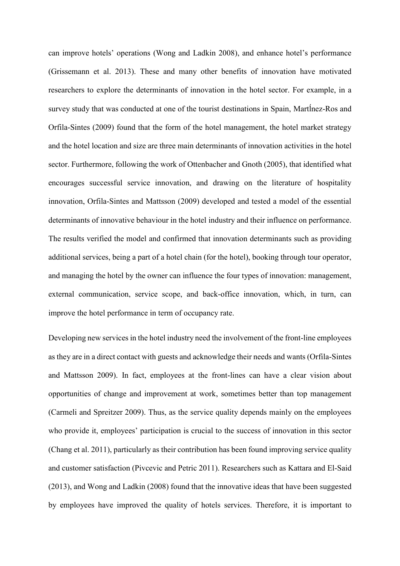can improve hotels' operations (Wong and Ladkin 2008), and enhance hotel's performance (Grissemann et al. 2013). These and many other benefits of innovation have motivated researchers to explore the determinants of innovation in the hotel sector. For example, in a survey study that was conducted at one of the tourist destinations in Spain, Martĺnez-Ros and Orfila-Sintes (2009) found that the form of the hotel management, the hotel market strategy and the hotel location and size are three main determinants of innovation activities in the hotel sector. Furthermore, following the work of Ottenbacher and Gnoth (2005), that identified what encourages successful service innovation, and drawing on the literature of hospitality innovation, Orfila-Sintes and Mattsson (2009) developed and tested a model of the essential determinants of innovative behaviour in the hotel industry and their influence on performance. The results verified the model and confirmed that innovation determinants such as providing additional services, being a part of a hotel chain (for the hotel), booking through tour operator, and managing the hotel by the owner can influence the four types of innovation: management, external communication, service scope, and back-office innovation, which, in turn, can improve the hotel performance in term of occupancy rate.

Developing new services in the hotel industry need the involvement of the front-line employees as they are in a direct contact with guests and acknowledge their needs and wants (Orfila-Sintes and Mattsson 2009). In fact, employees at the front-lines can have a clear vision about opportunities of change and improvement at work, sometimes better than top management (Carmeli and Spreitzer 2009). Thus, as the service quality depends mainly on the employees who provide it, employees' participation is crucial to the success of innovation in this sector (Chang et al. 2011), particularly as their contribution has been found improving service quality and customer satisfaction (Pivcevic and Petric 2011). Researchers such as Kattara and El-Said (2013), and Wong and Ladkin (2008) found that the innovative ideas that have been suggested by employees have improved the quality of hotels services. Therefore, it is important to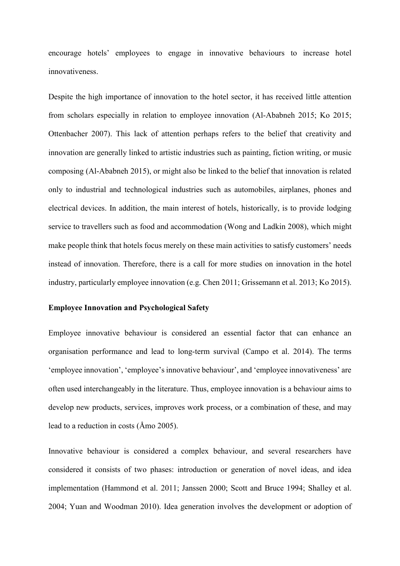encourage hotels' employees to engage in innovative behaviours to increase hotel innovativeness.

Despite the high importance of innovation to the hotel sector, it has received little attention from scholars especially in relation to employee innovation (Al-Ababneh 2015; Ko 2015; Ottenbacher 2007). This lack of attention perhaps refers to the belief that creativity and innovation are generally linked to artistic industries such as painting, fiction writing, or music composing (Al-Ababneh 2015), or might also be linked to the belief that innovation is related only to industrial and technological industries such as automobiles, airplanes, phones and electrical devices. In addition, the main interest of hotels, historically, is to provide lodging service to travellers such as food and accommodation (Wong and Ladkin 2008), which might make people think that hotels focus merely on these main activities to satisfy customers' needs instead of innovation. Therefore, there is a call for more studies on innovation in the hotel industry, particularly employee innovation (e.g. Chen 2011; Grissemann et al. 2013; Ko 2015).

#### **Employee Innovation and Psychological Safety**

Employee innovative behaviour is considered an essential factor that can enhance an organisation performance and lead to long-term survival (Campo et al. 2014). The terms 'employee innovation', 'employee's innovative behaviour', and 'employee innovativeness' are often used interchangeably in the literature. Thus, employee innovation is a behaviour aims to develop new products, services, improves work process, or a combination of these, and may lead to a reduction in costs (Åmo 2005).

Innovative behaviour is considered a complex behaviour, and several researchers have considered it consists of two phases: introduction or generation of novel ideas, and idea implementation (Hammond et al. 2011; Janssen 2000; Scott and Bruce 1994; Shalley et al. 2004; Yuan and Woodman 2010). Idea generation involves the development or adoption of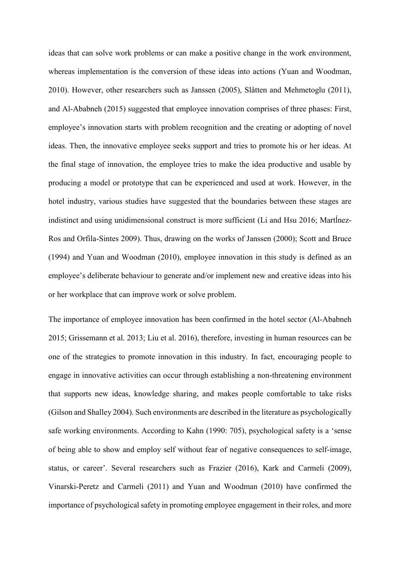ideas that can solve work problems or can make a positive change in the work environment, whereas implementation is the conversion of these ideas into actions (Yuan and Woodman, 2010). However, other researchers such as Janssen (2005), Slåtten and Mehmetoglu (2011), and Al-Ababneh (2015) suggested that employee innovation comprises of three phases: First, employee's innovation starts with problem recognition and the creating or adopting of novel ideas. Then, the innovative employee seeks support and tries to promote his or her ideas. At the final stage of innovation, the employee tries to make the idea productive and usable by producing a model or prototype that can be experienced and used at work. However, in the hotel industry, various studies have suggested that the boundaries between these stages are indistinct and using unidimensional construct is more sufficient (Li and Hsu 2016; Martĺnez-Ros and Orfila-Sintes 2009). Thus, drawing on the works of Janssen (2000); Scott and Bruce (1994) and Yuan and Woodman (2010), employee innovation in this study is defined as an employee's deliberate behaviour to generate and/or implement new and creative ideas into his or her workplace that can improve work or solve problem.

The importance of employee innovation has been confirmed in the hotel sector (Al-Ababneh 2015; Grissemann et al. 2013; Liu et al. 2016), therefore, investing in human resources can be one of the strategies to promote innovation in this industry. In fact, encouraging people to engage in innovative activities can occur through establishing a non-threatening environment that supports new ideas, knowledge sharing, and makes people comfortable to take risks (Gilson and Shalley 2004). Such environments are described in the literature as psychologically safe working environments. According to Kahn (1990: 705), psychological safety is a 'sense of being able to show and employ self without fear of negative consequences to self-image, status, or career'. Several researchers such as Frazier (2016), Kark and Carmeli (2009), Vinarski-Peretz and Carmeli (2011) and Yuan and Woodman (2010) have confirmed the importance of psychological safety in promoting employee engagement in their roles, and more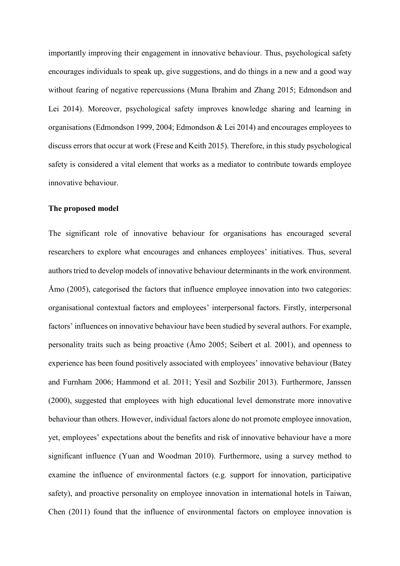importantly improving their engagement in innovative behaviour. Thus, psychological safety encourages individuals to speak up, give suggestions, and do things in a new and a good way without fearing of negative repercussions (Muna Ibrahim and Zhang 2015; Edmondson and Lei 2014). Moreover, psychological safety improves knowledge sharing and learning in organisations (Edmondson 1999, 2004; Edmondson & Lei 2014) and encourages employees to discuss errors that occur at work (Frese and Keith 2015). Therefore, in this study psychological safety is considered a vital element that works as a mediator to contribute towards employee innovative behaviour.

#### **The proposed model**

The significant role of innovative behaviour for organisations has encouraged several researchers to explore what encourages and enhances employees' initiatives. Thus, several authors tried to develop models of innovative behaviour determinants in the work environment. Åmo (2005), categorised the factors that influence employee innovation into two categories: organisational contextual factors and employees' interpersonal factors. Firstly, interpersonal factors' influences on innovative behaviour have been studied by several authors. For example, personality traits such as being proactive (Åmo 2005; Seibert et al. 2001), and openness to experience has been found positively associated with employees' innovative behaviour (Batey and Furnham 2006; Hammond et al. 2011; Yesil and Sozbilir 2013). Furthermore, Janssen (2000), suggested that employees with high educational level demonstrate more innovative behaviour than others. However, individual factors alone do not promote employee innovation, yet, employees' expectations about the benefits and risk of innovative behaviour have a more significant influence (Yuan and Woodman 2010). Furthermore, using a survey method to examine the influence of environmental factors (e.g. support for innovation, participative safety), and proactive personality on employee innovation in international hotels in Taiwan, Chen (2011) found that the influence of environmental factors on employee innovation is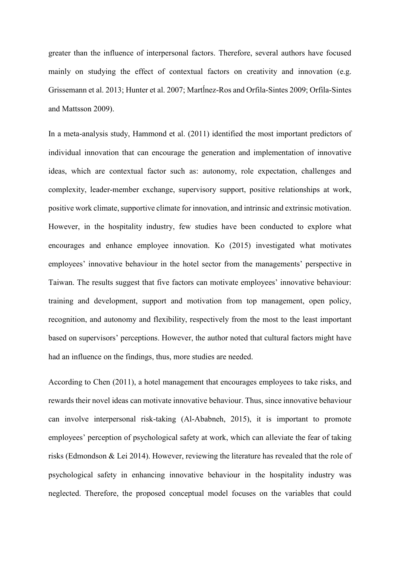greater than the influence of interpersonal factors. Therefore, several authors have focused mainly on studying the effect of contextual factors on creativity and innovation (e.g. Grissemann et al. 2013; Hunter et al. 2007; Martĺnez-Ros and Orfila-Sintes 2009; Orfila-Sintes and Mattsson 2009).

In a meta-analysis study, Hammond et al. (2011) identified the most important predictors of individual innovation that can encourage the generation and implementation of innovative ideas, which are contextual factor such as: autonomy, role expectation, challenges and complexity, leader-member exchange, supervisory support, positive relationships at work, positive work climate, supportive climate for innovation, and intrinsic and extrinsic motivation. However, in the hospitality industry, few studies have been conducted to explore what encourages and enhance employee innovation. Ko (2015) investigated what motivates employees' innovative behaviour in the hotel sector from the managements' perspective in Taiwan. The results suggest that five factors can motivate employees' innovative behaviour: training and development, support and motivation from top management, open policy, recognition, and autonomy and flexibility, respectively from the most to the least important based on supervisors' perceptions. However, the author noted that cultural factors might have had an influence on the findings, thus, more studies are needed.

According to Chen (2011), a hotel management that encourages employees to take risks, and rewards their novel ideas can motivate innovative behaviour. Thus, since innovative behaviour can involve interpersonal risk-taking (Al-Ababneh, 2015), it is important to promote employees' perception of psychological safety at work, which can alleviate the fear of taking risks (Edmondson & Lei 2014). However, reviewing the literature has revealed that the role of psychological safety in enhancing innovative behaviour in the hospitality industry was neglected. Therefore, the proposed conceptual model focuses on the variables that could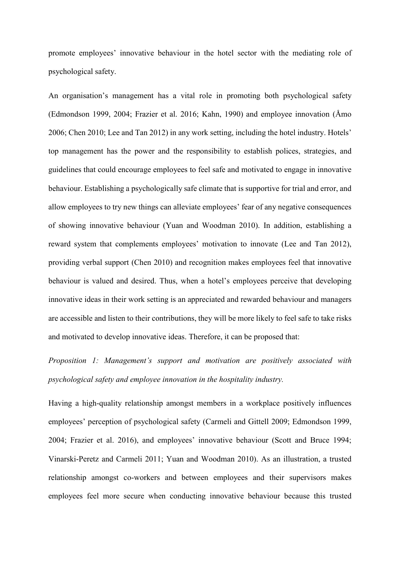promote employees' innovative behaviour in the hotel sector with the mediating role of psychological safety.

An organisation's management has a vital role in promoting both psychological safety (Edmondson 1999, 2004; Frazier et al. 2016; Kahn, 1990) and employee innovation (Åmo 2006; Chen 2010; Lee and Tan 2012) in any work setting, including the hotel industry. Hotels' top management has the power and the responsibility to establish polices, strategies, and guidelines that could encourage employees to feel safe and motivated to engage in innovative behaviour. Establishing a psychologically safe climate that is supportive for trial and error, and allow employees to try new things can alleviate employees' fear of any negative consequences of showing innovative behaviour (Yuan and Woodman 2010). In addition, establishing a reward system that complements employees' motivation to innovate (Lee and Tan 2012), providing verbal support (Chen 2010) and recognition makes employees feel that innovative behaviour is valued and desired. Thus, when a hotel's employees perceive that developing innovative ideas in their work setting is an appreciated and rewarded behaviour and managers are accessible and listen to their contributions, they will be more likely to feel safe to take risks and motivated to develop innovative ideas. Therefore, it can be proposed that:

*Proposition 1: Management's support and motivation are positively associated with psychological safety and employee innovation in the hospitality industry.* 

Having a high-quality relationship amongst members in a workplace positively influences employees' perception of psychological safety (Carmeli and Gittell 2009; Edmondson 1999, 2004; Frazier et al. 2016), and employees' innovative behaviour (Scott and Bruce 1994; Vinarski-Peretz and Carmeli 2011; Yuan and Woodman 2010). As an illustration, a trusted relationship amongst co-workers and between employees and their supervisors makes employees feel more secure when conducting innovative behaviour because this trusted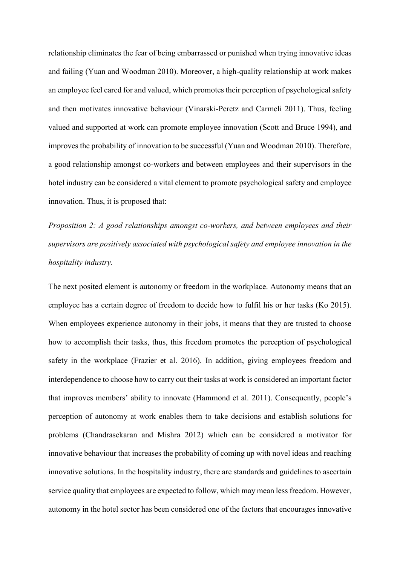relationship eliminates the fear of being embarrassed or punished when trying innovative ideas and failing (Yuan and Woodman 2010). Moreover, a high-quality relationship at work makes an employee feel cared for and valued, which promotes their perception of psychological safety and then motivates innovative behaviour (Vinarski-Peretz and Carmeli 2011). Thus, feeling valued and supported at work can promote employee innovation (Scott and Bruce 1994), and improves the probability of innovation to be successful (Yuan and Woodman 2010). Therefore, a good relationship amongst co-workers and between employees and their supervisors in the hotel industry can be considered a vital element to promote psychological safety and employee innovation. Thus, it is proposed that:

*Proposition 2: A good relationships amongst co-workers, and between employees and their supervisors are positively associated with psychological safety and employee innovation in the hospitality industry.*

The next posited element is autonomy or freedom in the workplace. Autonomy means that an employee has a certain degree of freedom to decide how to fulfil his or her tasks (Ko 2015). When employees experience autonomy in their jobs, it means that they are trusted to choose how to accomplish their tasks, thus, this freedom promotes the perception of psychological safety in the workplace (Frazier et al. 2016). In addition, giving employees freedom and interdependence to choose how to carry out their tasks at work is considered an important factor that improves members' ability to innovate (Hammond et al. 2011). Consequently, people's perception of autonomy at work enables them to take decisions and establish solutions for problems (Chandrasekaran and Mishra 2012) which can be considered a motivator for innovative behaviour that increases the probability of coming up with novel ideas and reaching innovative solutions. In the hospitality industry, there are standards and guidelines to ascertain service quality that employees are expected to follow, which may mean less freedom. However, autonomy in the hotel sector has been considered one of the factors that encourages innovative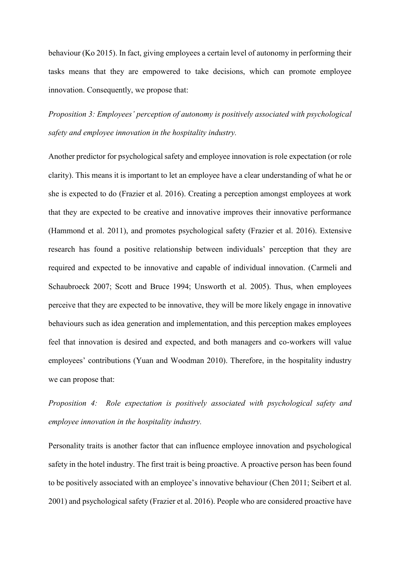behaviour (Ko 2015). In fact, giving employees a certain level of autonomy in performing their tasks means that they are empowered to take decisions, which can promote employee innovation. Consequently, we propose that:

*Proposition 3: Employees' perception of autonomy is positively associated with psychological safety and employee innovation in the hospitality industry.* 

Another predictor for psychological safety and employee innovation is role expectation (or role clarity). This means it is important to let an employee have a clear understanding of what he or she is expected to do (Frazier et al. 2016). Creating a perception amongst employees at work that they are expected to be creative and innovative improves their innovative performance (Hammond et al. 2011), and promotes psychological safety (Frazier et al. 2016). Extensive research has found a positive relationship between individuals' perception that they are required and expected to be innovative and capable of individual innovation. (Carmeli and Schaubroeck 2007; Scott and Bruce 1994; Unsworth et al. 2005). Thus, when employees perceive that they are expected to be innovative, they will be more likely engage in innovative behaviours such as idea generation and implementation, and this perception makes employees feel that innovation is desired and expected, and both managers and co-workers will value employees' contributions (Yuan and Woodman 2010). Therefore, in the hospitality industry we can propose that:

*Proposition 4: Role expectation is positively associated with psychological safety and employee innovation in the hospitality industry.*

Personality traits is another factor that can influence employee innovation and psychological safety in the hotel industry. The first trait is being proactive. A proactive person has been found to be positively associated with an employee's innovative behaviour (Chen 2011; Seibert et al. 2001) and psychological safety (Frazier et al. 2016). People who are considered proactive have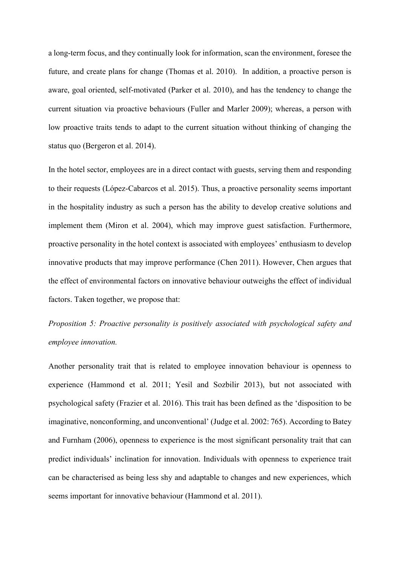a long-term focus, and they continually look for information, scan the environment, foresee the future, and create plans for change (Thomas et al. 2010). In addition, a proactive person is aware, goal oriented, self-motivated (Parker et al. 2010), and has the tendency to change the current situation via proactive behaviours (Fuller and Marler 2009); whereas, a person with low proactive traits tends to adapt to the current situation without thinking of changing the status quo (Bergeron et al. 2014).

In the hotel sector, employees are in a direct contact with guests, serving them and responding to their requests (López-Cabarcos et al. 2015). Thus, a proactive personality seems important in the hospitality industry as such a person has the ability to develop creative solutions and implement them (Miron et al. 2004), which may improve guest satisfaction. Furthermore, proactive personality in the hotel context is associated with employees' enthusiasm to develop innovative products that may improve performance (Chen 2011). However, Chen argues that the effect of environmental factors on innovative behaviour outweighs the effect of individual factors. Taken together, we propose that:

# *Proposition 5: Proactive personality is positively associated with psychological safety and employee innovation.*

Another personality trait that is related to employee innovation behaviour is openness to experience (Hammond et al. 2011; Yesil and Sozbilir 2013), but not associated with psychological safety (Frazier et al. 2016). This trait has been defined as the 'disposition to be imaginative, nonconforming, and unconventional' (Judge et al. 2002: 765). According to Batey and Furnham (2006), openness to experience is the most significant personality trait that can predict individuals' inclination for innovation. Individuals with openness to experience trait can be characterised as being less shy and adaptable to changes and new experiences, which seems important for innovative behaviour (Hammond et al. 2011).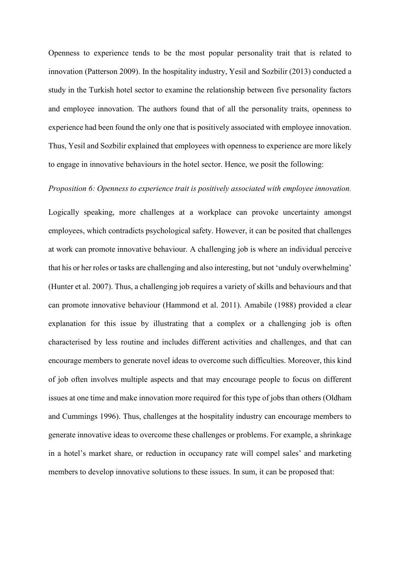Openness to experience tends to be the most popular personality trait that is related to innovation (Patterson 2009). In the hospitality industry, Yesil and Sozbilir (2013) conducted a study in the Turkish hotel sector to examine the relationship between five personality factors and employee innovation. The authors found that of all the personality traits, openness to experience had been found the only one that is positively associated with employee innovation. Thus, Yesil and Sozbilir explained that employees with openness to experience are more likely to engage in innovative behaviours in the hotel sector. Hence, we posit the following:

### *Proposition 6: Openness to experience trait is positively associated with employee innovation.*

Logically speaking, more challenges at a workplace can provoke uncertainty amongst employees, which contradicts psychological safety. However, it can be posited that challenges at work can promote innovative behaviour. A challenging job is where an individual perceive that his or her roles or tasks are challenging and also interesting, but not 'unduly overwhelming' (Hunter et al. 2007). Thus, a challenging job requires a variety of skills and behaviours and that can promote innovative behaviour (Hammond et al. 2011). Amabile (1988) provided a clear explanation for this issue by illustrating that a complex or a challenging job is often characterised by less routine and includes different activities and challenges, and that can encourage members to generate novel ideas to overcome such difficulties. Moreover, this kind of job often involves multiple aspects and that may encourage people to focus on different issues at one time and make innovation more required for this type of jobs than others (Oldham and Cummings 1996). Thus, challenges at the hospitality industry can encourage members to generate innovative ideas to overcome these challenges or problems. For example, a shrinkage in a hotel's market share, or reduction in occupancy rate will compel sales' and marketing members to develop innovative solutions to these issues. In sum, it can be proposed that: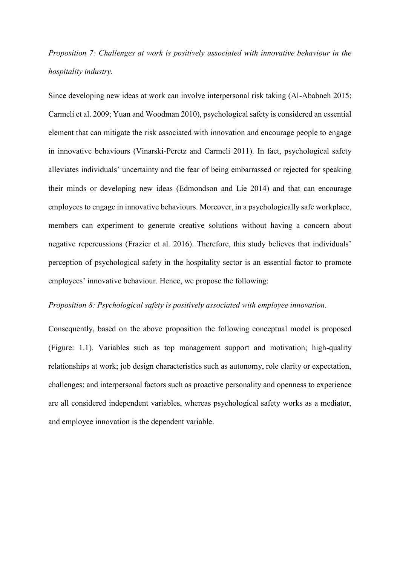## *Proposition 7: Challenges at work is positively associated with innovative behaviour in the hospitality industry.*

Since developing new ideas at work can involve interpersonal risk taking (Al-Ababneh 2015; Carmeli et al. 2009; Yuan and Woodman 2010), psychological safety is considered an essential element that can mitigate the risk associated with innovation and encourage people to engage in innovative behaviours (Vinarski-Peretz and Carmeli 2011). In fact, psychological safety alleviates individuals' uncertainty and the fear of being embarrassed or rejected for speaking their minds or developing new ideas (Edmondson and Lie 2014) and that can encourage employees to engage in innovative behaviours. Moreover, in a psychologically safe workplace, members can experiment to generate creative solutions without having a concern about negative repercussions (Frazier et al. 2016). Therefore, this study believes that individuals' perception of psychological safety in the hospitality sector is an essential factor to promote employees' innovative behaviour. Hence, we propose the following:

### *Proposition 8: Psychological safety is positively associated with employee innovation.*

Consequently, based on the above proposition the following conceptual model is proposed (Figure: 1.1). Variables such as top management support and motivation; high-quality relationships at work; job design characteristics such as autonomy, role clarity or expectation, challenges; and interpersonal factors such as proactive personality and openness to experience are all considered independent variables, whereas psychological safety works as a mediator, and employee innovation is the dependent variable.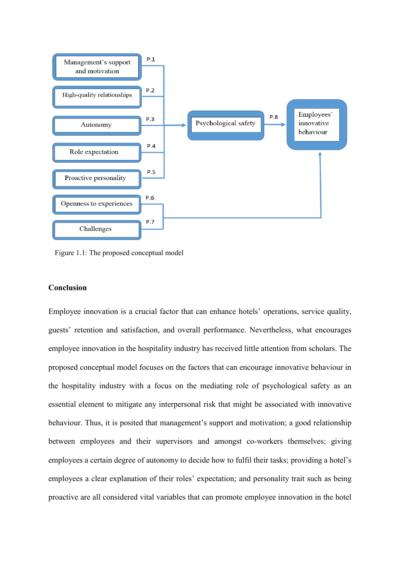

Figure 1.1: The proposed conceptual model

### **Conclusion**

Employee innovation is a crucial factor that can enhance hotels' operations, service quality, guests' retention and satisfaction, and overall performance. Nevertheless, what encourages employee innovation in the hospitality industry has received little attention from scholars. The proposed conceptual model focuses on the factors that can encourage innovative behaviour in the hospitality industry with a focus on the mediating role of psychological safety as an essential element to mitigate any interpersonal risk that might be associated with innovative behaviour. Thus, it is posited that management's support and motivation; a good relationship between employees and their supervisors and amongst co-workers themselves; giving employees a certain degree of autonomy to decide how to fulfil their tasks; providing a hotel's employees a clear explanation of their roles' expectation; and personality trait such as being proactive are all considered vital variables that can promote employee innovation in the hotel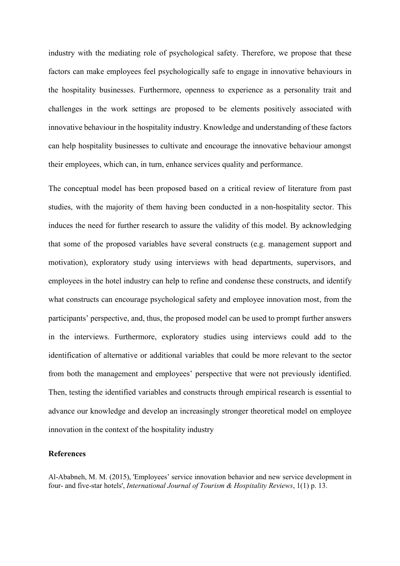industry with the mediating role of psychological safety. Therefore, we propose that these factors can make employees feel psychologically safe to engage in innovative behaviours in the hospitality businesses. Furthermore, openness to experience as a personality trait and challenges in the work settings are proposed to be elements positively associated with innovative behaviour in the hospitality industry. Knowledge and understanding of these factors can help hospitality businesses to cultivate and encourage the innovative behaviour amongst their employees, which can, in turn, enhance services quality and performance.

The conceptual model has been proposed based on a critical review of literature from past studies, with the majority of them having been conducted in a non-hospitality sector. This induces the need for further research to assure the validity of this model. By acknowledging that some of the proposed variables have several constructs (e.g. management support and motivation), exploratory study using interviews with head departments, supervisors, and employees in the hotel industry can help to refine and condense these constructs, and identify what constructs can encourage psychological safety and employee innovation most, from the participants' perspective, and, thus, the proposed model can be used to prompt further answers in the interviews. Furthermore, exploratory studies using interviews could add to the identification of alternative or additional variables that could be more relevant to the sector from both the management and employees' perspective that were not previously identified. Then, testing the identified variables and constructs through empirical research is essential to advance our knowledge and develop an increasingly stronger theoretical model on employee innovation in the context of the hospitality industry

### **References**

Al-Ababneh, M. M. (2015), 'Employees' service innovation behavior and new service development in four- and five-star hotels', *International Journal of Tourism & Hospitality Reviews*, 1(1) p. 13.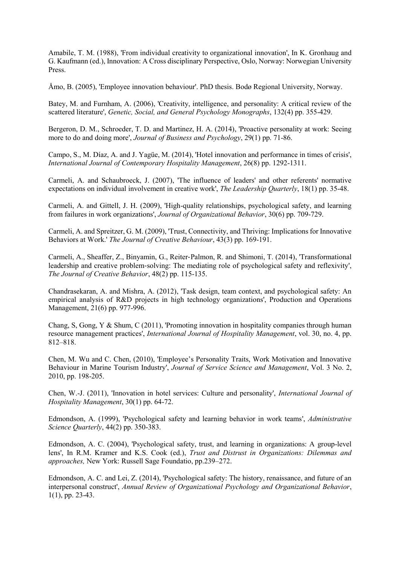Amabile, T. M. (1988), 'From individual creativity to organizational innovation', In K. Gronhaug and G. Kaufmann (ed.), Innovation: A Cross disciplinary Perspective, Oslo, Norway: Norwegian University Press.

Åmo, B. (2005), 'Employee innovation behaviour'. PhD thesis. Bodø Regional University, Norway.

Batey, M. and Furnham, A. (2006), 'Creativity, intelligence, and personality: A critical review of the scattered literature', *Genetic, Social, and General Psychology Monographs*, 132(4) pp. 355-429.

Bergeron, D. M., Schroeder, T. D. and Martinez, H. A. (2014), 'Proactive personality at work: Seeing more to do and doing more', *Journal of Business and Psychology*, 29(1) pp. 71-86.

Campo, S., M. Díaz, A. and J. Yagüe, M. (2014), 'Hotel innovation and performance in times of crisis', *International Journal of Contemporary Hospitality Management*, 26(8) pp. 1292-1311.

Carmeli, A. and Schaubroeck, J. (2007), 'The influence of leaders' and other referents' normative expectations on individual involvement in creative work', *The Leadership Quarterly*, 18(1) pp. 35-48.

Carmeli, A. and Gittell, J. H. (2009), 'High-quality relationships, psychological safety, and learning from failures in work organizations', *Journal of Organizational Behavior*, 30(6) pp. 709-729.

Carmeli, A. and Spreitzer, G. M. (2009), 'Trust, Connectivity, and Thriving: Implications for Innovative Behaviors at Work.' *The Journal of Creative Behaviour*, 43(3) pp. 169-191.

Carmeli, A., Sheaffer, Z., Binyamin, G., Reiter‐Palmon, R. and Shimoni, T. (2014), 'Transformational leadership and creative problem‐solving: The mediating role of psychological safety and reflexivity', *The Journal of Creative Behavior*, 48(2) pp. 115-135.

Chandrasekaran, A. and Mishra, A. (2012), 'Task design, team context, and psychological safety: An empirical analysis of R&D projects in high technology organizations', Production and Operations Management, 21(6) pp. 977-996.

Chang, S, Gong, Y & Shum, C (2011), 'Promoting innovation in hospitality companies through human resource management practices', *International Journal of Hospitality Management*, vol. 30, no. 4, pp. 812–818.

Chen, M. Wu and C. Chen, (2010), 'Employee's Personality Traits, Work Motivation and Innovative Behaviour in Marine Tourism Industry', *Journal of Service Science and Management*, Vol. 3 No. 2, 2010, pp. 198-205.

Chen, W.-J. (2011), 'Innovation in hotel services: Culture and personality', *International Journal of Hospitality Management*, 30(1) pp. 64-72.

Edmondson, A. (1999), 'Psychological safety and learning behavior in work teams', *Administrative Science Quarterly*, 44(2) pp. 350-383.

Edmondson, A. C. (2004), 'Psychological safety, trust, and learning in organizations: A group-level lens', In R.M. Kramer and K.S. Cook (ed.), *Trust and Distrust in Organizations: Dilemmas and approaches,* New York: Russell Sage Foundatio, pp.239–272.

Edmondson, A. C. and Lei, Z. (2014), 'Psychological safety: The history, renaissance, and future of an interpersonal construct', *Annual Review of Organizational Psychology and Organizational Behavior*, 1(1), pp. 23-43.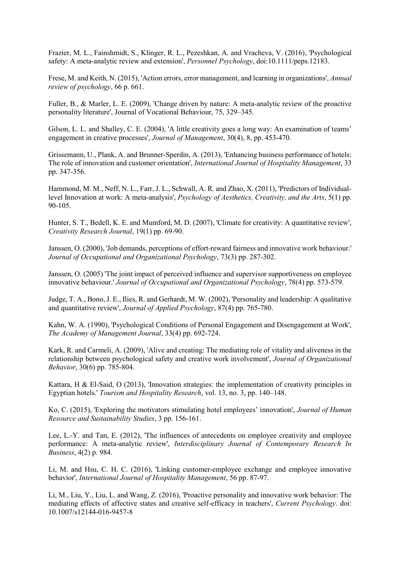Frazier, M. L., Fainshmidt, S., Klinger, R. L., Pezeshkan, A. and Vracheva, V. (2016), 'Psychological safety: A meta-analytic review and extension', *Personnel Psychology*, doi:10.1111/peps.12183.

Frese, M. and Keith, N. (2015), 'Action errors, error management, and learning in organizations', *Annual review of psychology*, 66 p. 661.

Fuller, B., & Marler, L. E. (2009), 'Change driven by nature: A meta-analytic review of the proactive personality literature', Journal of Vocational Behaviour, 75, 329–345.

Gilson, L. L. and Shalley, C. E. (2004), 'A little creativity goes a long way: An examination of teams' engagement in creative processes', *Journal of Management*, 30(4), 8, pp. 453-470.

Grissemann, U., Plank, A. and Brunner-Sperdin, A. (2013), 'Enhancing business performance of hotels: The role of innovation and customer orientation', *International Journal of Hospitality Management*, 33 pp. 347-356.

Hammond, M. M., Neff, N. L., Farr, J. L., Schwall, A. R. and Zhao, X. (2011), 'Predictors of Individuallevel Innovation at work: A meta-analysis', *Psychology of Aesthetics, Creativity, and the Arts*, 5(1) pp. 90-105.

Hunter, S. T., Bedell, K. E. and Mumford, M. D. (2007), 'Climate for creativity: A quantitative review', *Creativity Research Journal*, 19(1) pp. 69-90.

Janssen, O. (2000), 'Job demands, perceptions of effort-reward fairness and innovative work behaviour.' *Journal of Occupational and Organizational Psychology*, 73(3) pp. 287-302.

Janssen, O. (2005) 'The joint impact of perceived influence and supervisor supportiveness on employee innovative behaviour.' *Journal of Occupational and Organizational Psychology*, 78(4) pp. 573-579.

Judge, T. A., Bono, J. E., Ilies, R. and Gerhardt, M. W. (2002), 'Personality and leadership: A qualitative and quantitative review', *Journal of Applied Psychology*, 87(4) pp. 765-780.

Kahn, W. A. (1990), 'Psychological Conditions of Personal Engagement and Disengagement at Work', *The Academy of Management Journal*, 33(4) pp. 692-724.

Kark, R. and Carmeli, A. (2009), 'Alive and creating: The mediating role of vitality and aliveness in the relationship between psychological safety and creative work involvement', *Journal of Organizational Behavior*, 30(6) pp. 785-804.

Kattara, H & El-Said, O (2013), 'Innovation strategies: the implementation of creativity principles in Egyptian hotels.' *Tourism and Hospitality Research*, vol. 13, no. 3, pp. 140–148.

Ko, C. (2015), 'Exploring the motivators stimulating hotel employees' innovation', *Journal of Human Resource and Sustainability Studies*, 3 pp. 156-161.

Lee, L.-Y. and Tan, E. (2012), 'The influences of antecedents on employee creativity and employee performance: A meta-analytic review', *Interdisciplinary Journal of Contemporary Research In Business*, 4(2) p. 984.

Li, M. and Hsu, C. H. C. (2016), 'Linking customer-employee exchange and employee innovative behavior', *International Journal of Hospitality Management*, 56 pp. 87-97.

Li, M., Liu, Y., Liu, L. and Wang, Z. (2016), 'Proactive personality and innovative work behavior: The mediating effects of affective states and creative self-efficacy in teachers', *Current Psychology*. doi: 10.1007/s12144-016-9457-8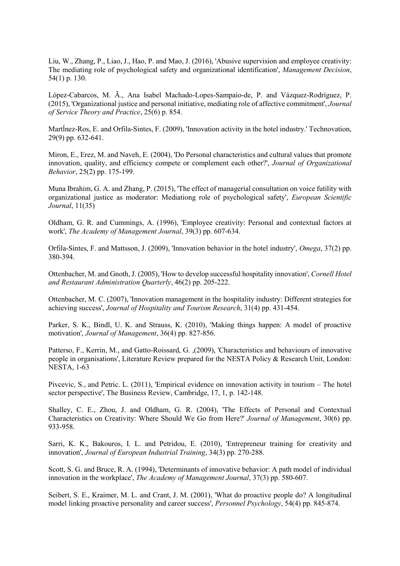Liu, W., Zhang, P., Liao, J., Hao, P. and Mao, J. (2016), 'Abusive supervision and employee creativity: The mediating role of psychological safety and organizational identification', *Management Decision*, 54(1) p. 130.

López-Cabarcos, M. Ã., Ana Isabel Machado-Lopes-Sampaio-de, P. and Vázquez-Rodríguez, P. (2015), 'Organizational justice and personal initiative, mediating role of affective commitment', *Journal of Service Theory and Practice*, 25(6) p. 854.

MartÍnez-Ros, E. and Orfila-Sintes, F. (2009), 'Innovation activity in the hotel industry.' Technovation, 29(9) pp. 632-641.

Miron, E., Erez, M. and Naveh, E. (2004), 'Do Personal characteristics and cultural values that promote innovation, quality, and efficiency compete or complement each other?', *Journal of Organizational Behavior*, 25(2) pp. 175-199.

Muna Ibrahim, G. A. and Zhang, P. (2015), 'The effect of managerial consultation on voice futility with organizational justice as moderator: Mediationg role of psychological safety', *European Scientific Journal*, 11(35)

Oldham, G. R. and Cummings, A. (1996), 'Employee creativity: Personal and contextual factors at work', *The Academy of Management Journal*, 39(3) pp. 607-634.

Orfila-Sintes, F. and Mattsson, J. (2009), 'Innovation behavior in the hotel industry', *Omega*, 37(2) pp. 380-394.

Ottenbacher, M. and Gnoth, J. (2005), 'How to develop successful hospitality innovation', *Cornell Hotel and Restaurant Administration Quarterly*, 46(2) pp. 205-222.

Ottenbacher, M. C. (2007), 'Innovation management in the hospitality industry: Different strategies for achieving success', *Journal of Hospitality and Tourism Research*, 31(4) pp. 431-454.

Parker, S. K., Bindl, U. K. and Strauss, K. (2010), 'Making things happen: A model of proactive motivation', *Journal of Management*, 36(4) pp. 827-856.

Patterso, F., Kerrin, M., and Gatto-Roissard, G. ,(2009), 'Characteristics and behaviours of innovative people in organisations', Literature Review prepared for the NESTA Policy & Research Unit, London: NESTA, 1-63

Pivcevic, S., and Petric. L. (2011), 'Empirical evidence on innovation activity in tourism – The hotel sector perspective', The Business Review, Cambridge, 17, 1, p. 142-148.

Shalley, C. E., Zhou, J. and Oldham, G. R. (2004), 'The Effects of Personal and Contextual Characteristics on Creativity: Where Should We Go from Here?' *Journal of Management*, 30(6) pp. 933-958.

Sarri, K. K., Bakouros, I. L. and Petridou, E. (2010), 'Entrepreneur training for creativity and innovation', *Journal of European Industrial Training*, 34(3) pp. 270-288.

Scott, S. G. and Bruce, R. A. (1994), 'Determinants of innovative behavior: A path model of individual innovation in the workplace', *The Academy of Management Journal*, 37(3) pp. 580-607.

Seibert, S. E., Kraimer, M. L. and Crant, J. M. (2001), 'What do proactive people do? A longitudinal model linking proactive personality and career success', *Personnel Psychology*, 54(4) pp. 845-874.